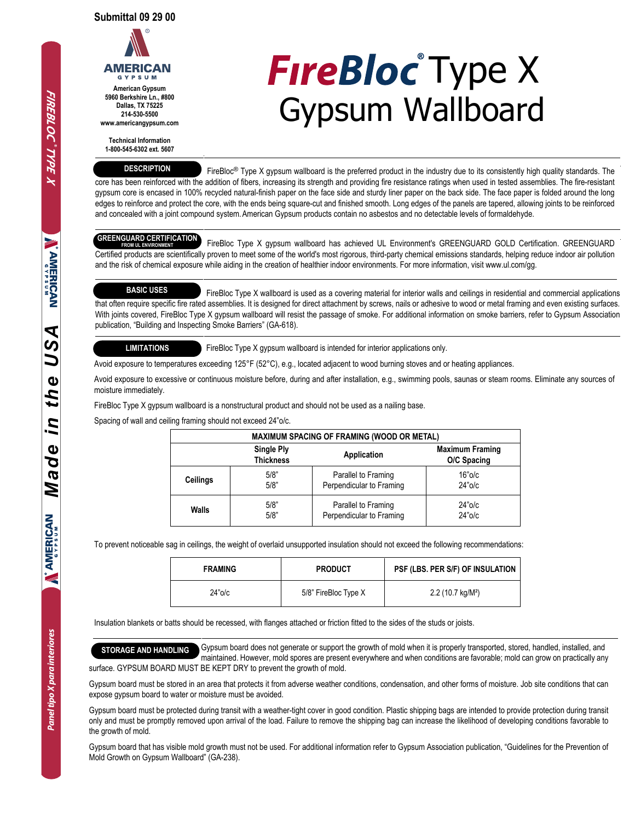

**American Gypsum 5960 Berkshire Ln., #800 Dallas, TX 75225 214-530-5500 www.americangypsum.com**

**Technical Information**

**1-800-545-6302 ext. 5607**

## **DESCRIPTION**

**FireBloc** Type X Gypsum Wallboard

FireBloc<sup>®</sup> Type X gypsum wallboard is the preferred product in the industry due to its consistently high quality standards. The core has been reinforced with the addition of fibers, increasing its strength and providing fire resistance ratings when used in tested assemblies. The fire-resistant gypsum core is encased in 100% recycled natural-finish paper on the face side and sturdy liner paper on the back side. The face paper is folded around the long edges to reinforce and protect the core, with the ends being square-cut and finished smooth. Long edges of the panels are tapered, allowing joints to be reinforced and concealed with a joint compound system.American Gypsum products contain no asbestos and no detectable levels of formaldehyde.

# **GREENGUARD CERTIFICATION**

 FireBloc Type X gypsum wallboard has achieved UL Environment's GREENGUARD GOLD Certification. GREENGUARD Certified products are scientifically proven to meet some of the world's most rigorous, third-party chemical emissions standards, helping reduce indoor air pollution and the risk of chemical exposure while aiding in the creation of healthier indoor environments. For more information, visit www.ul.com/gg. **FROM UL ENVIRO** 

## **BASIC USES**

 FireBloc Type X wallboard is used as a covering material for interior walls and ceilings in residential and commercial applications that often require specific fire rated assemblies. It is designed for direct attachment by screws, nails or adhesive to wood or metal framing and even existing surfaces. With joints covered, FireBloc Type X gypsum wallboard will resist the passage of smoke. For additional information on smoke barriers, refer to Gypsum Association publication, "Building and Inspecting Smoke Barriers" (GA-618).

### **LIMITATIONS**

FireBloc Type X gypsum wallboard is intended for interior applications only.

Avoid exposure to temperatures exceeding 125°F (52°C), e.g., located adjacent to wood burning stoves and or heating appliances.

Avoid exposure to excessive or continuous moisture before, during and after installation, e.g., swimming pools, saunas or steam rooms. Eliminate any sources of moisture immediately.

FireBloc Type X gypsum wallboard is a nonstructural product and should not be used as a nailing base.

Spacing of wall and ceiling framing should not exceed 24"o/c.

| <b>MAXIMUM SPACING OF FRAMING (WOOD OR METAL)</b> |                                       |                          |                                       |  |  |  |  |
|---------------------------------------------------|---------------------------------------|--------------------------|---------------------------------------|--|--|--|--|
|                                                   | <b>Single Ply</b><br><b>Thickness</b> | Application              | <b>Maximum Framing</b><br>O/C Spacing |  |  |  |  |
| Ceilings                                          | 5/8"                                  | Parallel to Framing      | $16"$ o/c                             |  |  |  |  |
|                                                   | 5/8"                                  | Perpendicular to Framing | $24"$ o/c                             |  |  |  |  |
| Walls                                             | 5/8"                                  | Parallel to Framing      | $24"$ o/c                             |  |  |  |  |
|                                                   | 5/8"                                  | Perpendicular to Framing | $24"$ o/c                             |  |  |  |  |

To prevent noticeable sag in ceilings, the weight of overlaid unsupported insulation should not exceed the following recommendations:

| <b>FRAMING</b> | <b>PRODUCT</b>       | PSF (LBS. PER S/F) OF INSULATION |
|----------------|----------------------|----------------------------------|
| $24"$ o/c      | 5/8" FireBloc Type X | 2.2(10.7 kg/M <sup>2</sup> )     |

Insulation blankets or batts should be recessed, with flanges attached or friction fitted to the sides of the studs or joists.

**STORAGE AND HANDLING** Gypsum board does not generate or support the growth of mold when it is properly transported, stored, handled, installed, and maintained. However, mold spores are present everywhere and when conditions are favorable; mold can grow on practically any surface. GYPSUM BOARD MUST BE KEPT DRY to prevent the growth of mold.

Gypsum board must be stored in an area that protects it from adverse weather conditions, condensation, and other forms of moisture. Job site conditions that can expose gypsum board to water or moisture must be avoided.

Gypsum board must be protected during transit with a weather-tight cover in good condition. Plastic shipping bags are intended to provide protection during transit only and must be promptly removed upon arrival of the load. Failure to remove the shipping bag can increase the likelihood of developing conditions favorable to the growth of mold.

Gypsum board that has visible mold growth must not be used. For additional information refer to Gypsum Association publication, "Guidelines for the Prevention of Mold Growth on Gypsum Wallboard" (GA-238).

**Property**